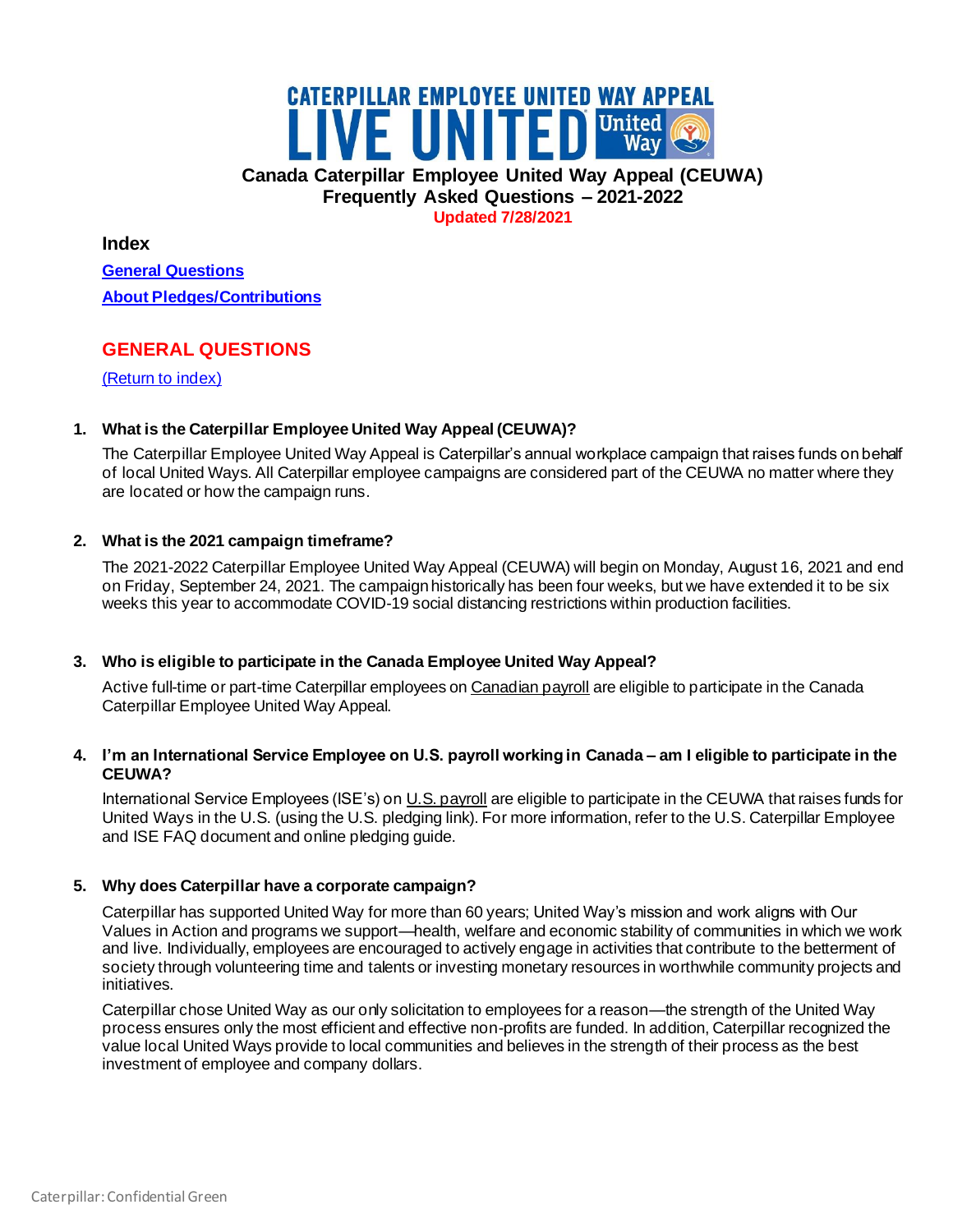# **CATERPILLAR EMPLOYEE UNITED WAY APPEAL** WE UNITED United ( **Canada Caterpillar Employee United Way Appeal (CEUWA) Frequently Asked Questions – 2021-2022 Updated 7/28/2021**

<span id="page-0-1"></span>**Index** 

**[General Questions](#page-0-0) [About Pledges/Contributions](#page-1-0)**

# <span id="page-0-0"></span>**GENERAL QUESTIONS**

[\(Return to index\)](#page-0-1)

# **1. What is the Caterpillar Employee United Way Appeal (CEUWA)?**

The Caterpillar Employee United Way Appeal is Caterpillar's annual workplace campaign that raises funds on behalf of local United Ways. All Caterpillar employee campaigns are considered part of the CEUWA no matter where they are located or how the campaign runs.

# **2. What is the 2021 campaign timeframe?**

The 2021-2022 Caterpillar Employee United Way Appeal (CEUWA) will begin on Monday, August 16, 2021 and end on Friday, September 24, 2021. The campaign historically has been four weeks, but we have extended it to be six weeks this year to accommodate COVID-19 social distancing restrictions within production facilities.

# **3. Who is eligible to participate in the Canada Employee United Way Appeal?**

Active full-time or part-time Caterpillar employees on Canadian payroll are eligible to participate in the Canada Caterpillar Employee United Way Appeal.

# **4. I'm an International Service Employee on U.S. payroll working in Canada – am I eligible to participate in the CEUWA?**

International Service Employees (ISE's) on U.S. payroll are eligible to participate in the CEUWA that raises funds for United Ways in the U.S. (using the U.S. pledging link). For more information, refer to the U.S. Caterpillar Employee and ISE FAQ document and online pledging guide.

# **5. Why does Caterpillar have a corporate campaign?**

Caterpillar has supported United Way for more than 60 years; United Way's mission and work aligns with Our Values in Action and programs we support—health, welfare and economic stability of communities in which we work and live. Individually, employees are encouraged to actively engage in activities that contribute to the betterment of society through volunteering time and talents or investing monetary resources in worthwhile community projects and initiatives.

Caterpillar chose United Way as our only solicitation to employees for a reason—the strength of the United Way process ensures only the most efficient and effective non-profits are funded. In addition, Caterpillar recognized the value local United Ways provide to local communities and believes in the strength of their process as the best investment of employee and company dollars.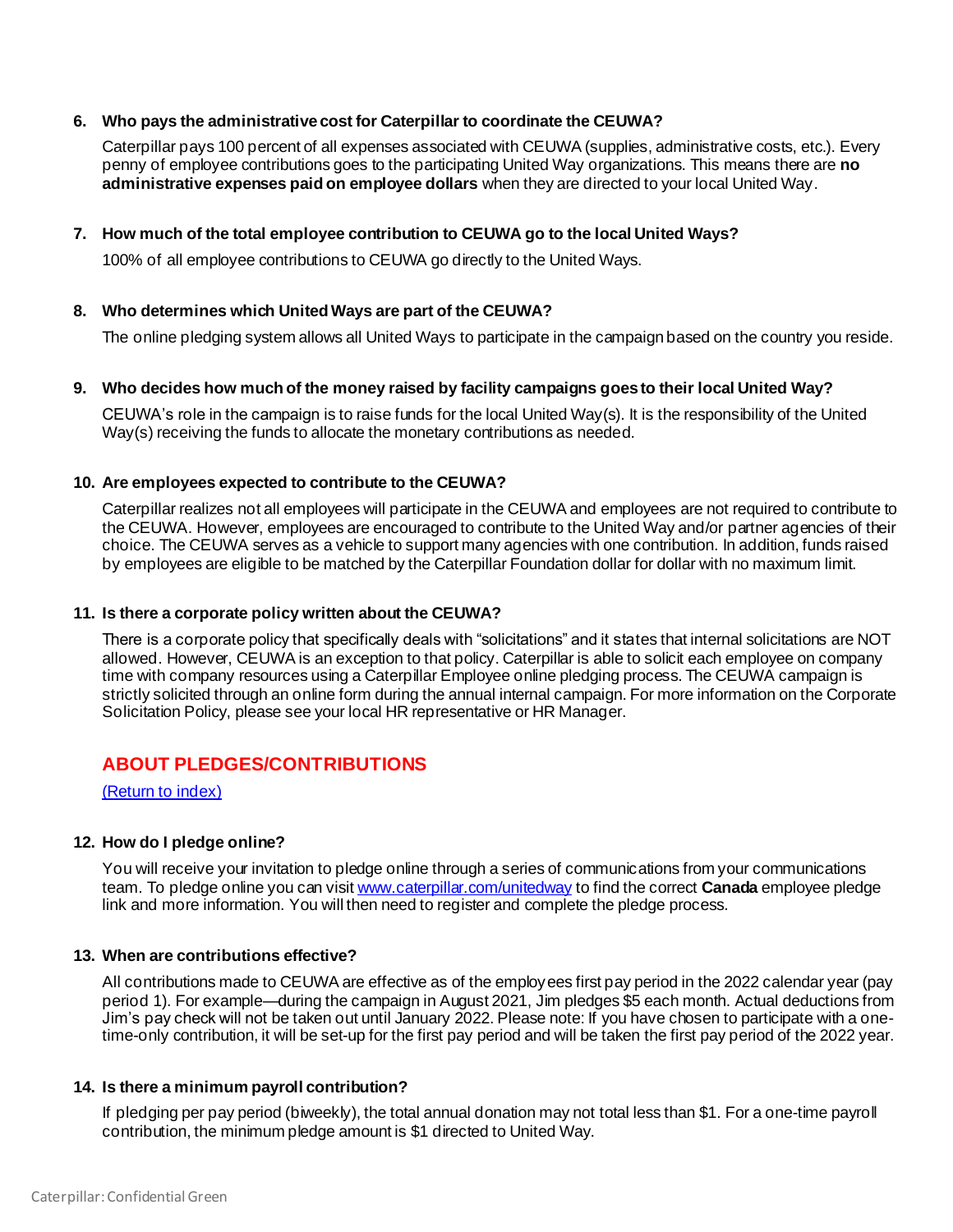# **6. Who pays the administrative cost for Caterpillar to coordinate the CEUWA?**

Caterpillar pays 100 percent of all expenses associated with CEUWA (supplies, administrative costs, etc.). Every penny of employee contributions goes to the participating United Way organizations. This means there are **no administrative expenses paid on employee dollars** when they are directed to your local United Way.

### **7. How much of the total employee contribution to CEUWA go to the local United Ways?**

100% of all employee contributions to CEUWA go directly to the United Ways.

### **8. Who determines which United Ways are part of the CEUWA?**

The online pledging system allows all United Ways to participate in the campaign based on the country you reside.

### **9. Who decides how much of the money raised by facility campaigns goes to their local United Way?**

CEUWA's role in the campaign is to raise funds for the local United Way(s). It is the responsibility of the United Way(s) receiving the funds to allocate the monetary contributions as needed.

### **10. Are employees expected to contribute to the CEUWA?**

Caterpillar realizes not all employees will participate in the CEUWA and employees are not required to contribute to the CEUWA. However, employees are encouraged to contribute to the United Way and/or partner agencies of their choice. The CEUWA serves as a vehicle to support many agencies with one contribution. In addition, funds raised by employees are eligible to be matched by the Caterpillar Foundation dollar for dollar with no maximum limit.

### **11. Is there a corporate policy written about the CEUWA?**

There is a corporate policy that specifically deals with "solicitations" and it states that internal solicitations are NOT allowed. However, CEUWA is an exception to that policy. Caterpillar is able to solicit each employee on company time with company resources using a Caterpillar Employee online pledging process. The CEUWA campaign is strictly solicited through an online form during the annual internal campaign. For more information on the Corporate Solicitation Policy, please see your local HR representative or HR Manager.

# <span id="page-1-0"></span>**ABOUT PLEDGES/CONTRIBUTIONS**

[\(Return to index\)](#page-0-1)

# **12. How do I pledge online?**

You will receive your invitation to pledge online through a series of communications from your communications team. To pledge online you can visi[t www.caterpillar.com/unitedway](http://www.caterpillar.com/unitedway) to find the correct **Canada** employee pledge link and more information. You will then need to register and complete the pledge process.

### **13. When are contributions effective?**

All contributions made to CEUWA are effective as of the employees first pay period in the 2022 calendar year (pay period 1). For example—during the campaign in August 2021, Jim pledges \$5 each month. Actual deductions from Jim's pay check will not be taken out until January 2022. Please note: If you have chosen to participate with a onetime-only contribution, it will be set-up for the first pay period and will be taken the first pay period of the 2022 year.

# **14. Is there a minimum payroll contribution?**

If pledging per pay period (biweekly), the total annual donation may not total less than \$1. For a one-time payroll contribution, the minimum pledge amount is \$1 directed to United Way.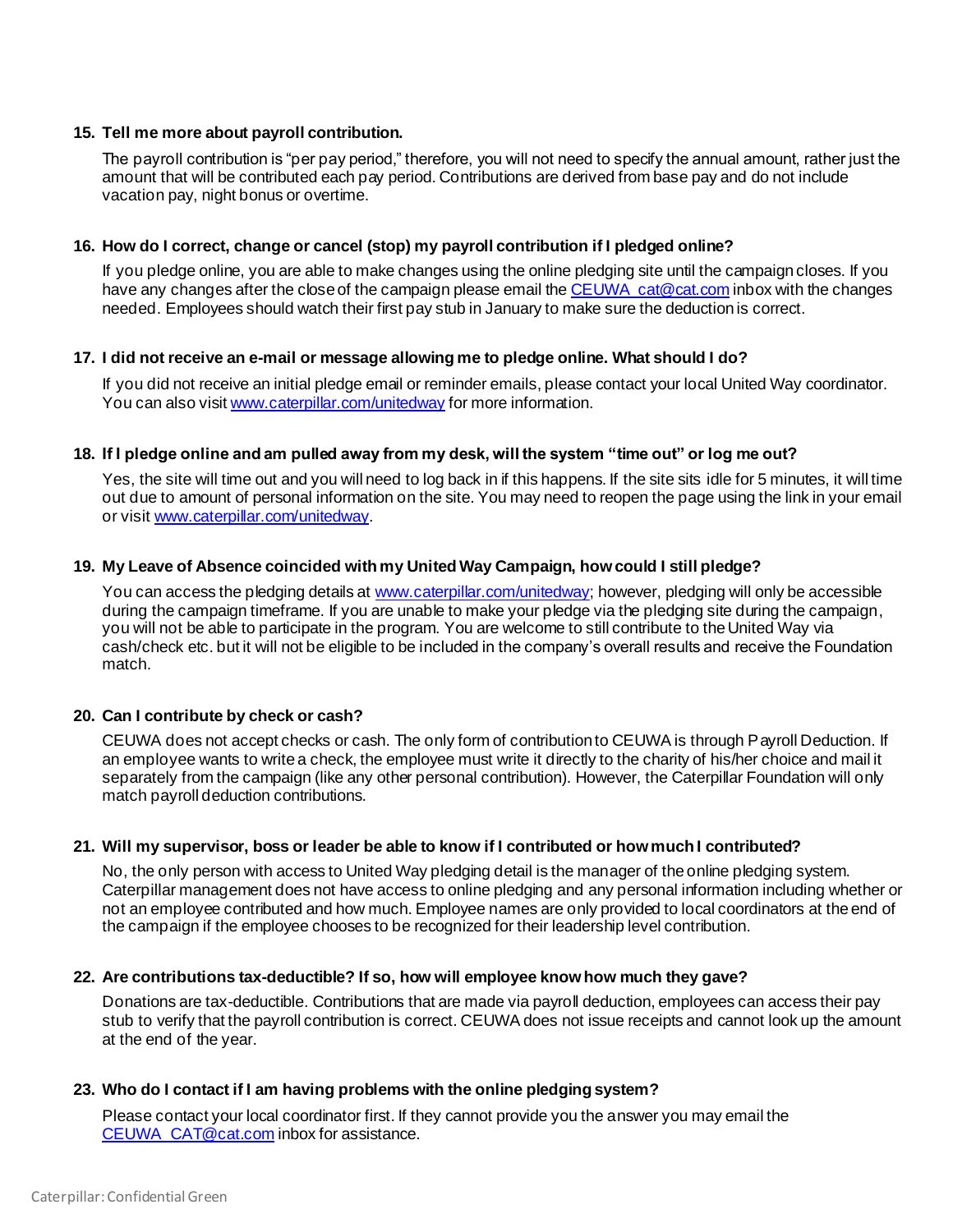# **15. Tell me more about payroll contribution.**

The payroll contribution is "per pay period," therefore, you will not need to specify the annual amount, rather just the amount that will be contributed each pay period. Contributions are derived from base pay and do not include vacation pay, night bonus or overtime.

### **16. How do I correct, change or cancel (stop) my payroll contribution if I pledged online?**

If you pledge online, you are able to make changes using the online pledging site until the campaign closes. If you have any changes after the close of the campaign please email the CEUWA cat@cat.com inbox with the changes needed. Employees should watch their first pay stub in January to make sure the deduction is correct.

### **17. I did not receive an e-mail or message allowing me to pledge online. What should I do?**

If you did not receive an initial pledge email or reminder emails, please contact your local United Way coordinator. You can also vis[it www.caterpillar.com/unitedway](http://www.caterpillar.com/unitedway) for more information.

### **18. If I pledge online and am pulled away from my desk, will the system "time out" or log me out?**

Yes, the site will time out and you will need to log back in if this happens. If the site sits idle for 5 minutes, it will time out due to amount of personal information on the site. You may need to reopen the page using the link in your email or visi[t www.caterpillar.com/unitedway](http://www.caterpillar.com/unitedway).

### **19. My Leave of Absence coincided with my United Way Campaign, how could I still pledge?**

You can access the pledging details a[t www.caterpillar.com/unitedway](http://www.caterpillar.com/unitedway); however, pledging will only be accessible during the campaign timeframe. If you are unable to make your pledge via the pledging site during the campaign, you will not be able to participate in the program. You are welcome to still contribute to the United Way via cash/check etc. but it will not be eligible to be included in the company's overall results and receive the Foundation match.

# **20. Can I contribute by check or cash?**

CEUWA does not accept checks or cash. The only form of contribution to CEUWA is through Payroll Deduction. If an employee wants to write a check, the employee must write it directly to the charity of his/her choice and mail it separately from the campaign (like any other personal contribution). However, the Caterpillar Foundation will only match payroll deduction contributions.

### **21. Will my supervisor, boss or leader be able to know if I contributed or how much I contributed?**

No, the only person with access to United Way pledging detail is the manager of the online pledging system. Caterpillar management does not have access to online pledging and any personal information including whether or not an employee contributed and how much. Employee names are only provided to local coordinators at the end of the campaign if the employee chooses to be recognized for their leadership level contribution.

### **22. Are contributions tax-deductible? If so, how will employee know how much they gave?**

Donations are tax-deductible. Contributions that are made via payroll deduction, employees can access their pay stub to verify that the payroll contribution is correct. CEUWA does not issue receipts and cannot look up the amount at the end of the year.

### **23. Who do I contact if I am having problems with the online pledging system?**

Please contact your local coordinator first. If they cannot provide you the answer you may email the [CEUWA\\_CAT@cat.com](mailto:CEUWA_CAT@cat.com) inbox for assistance.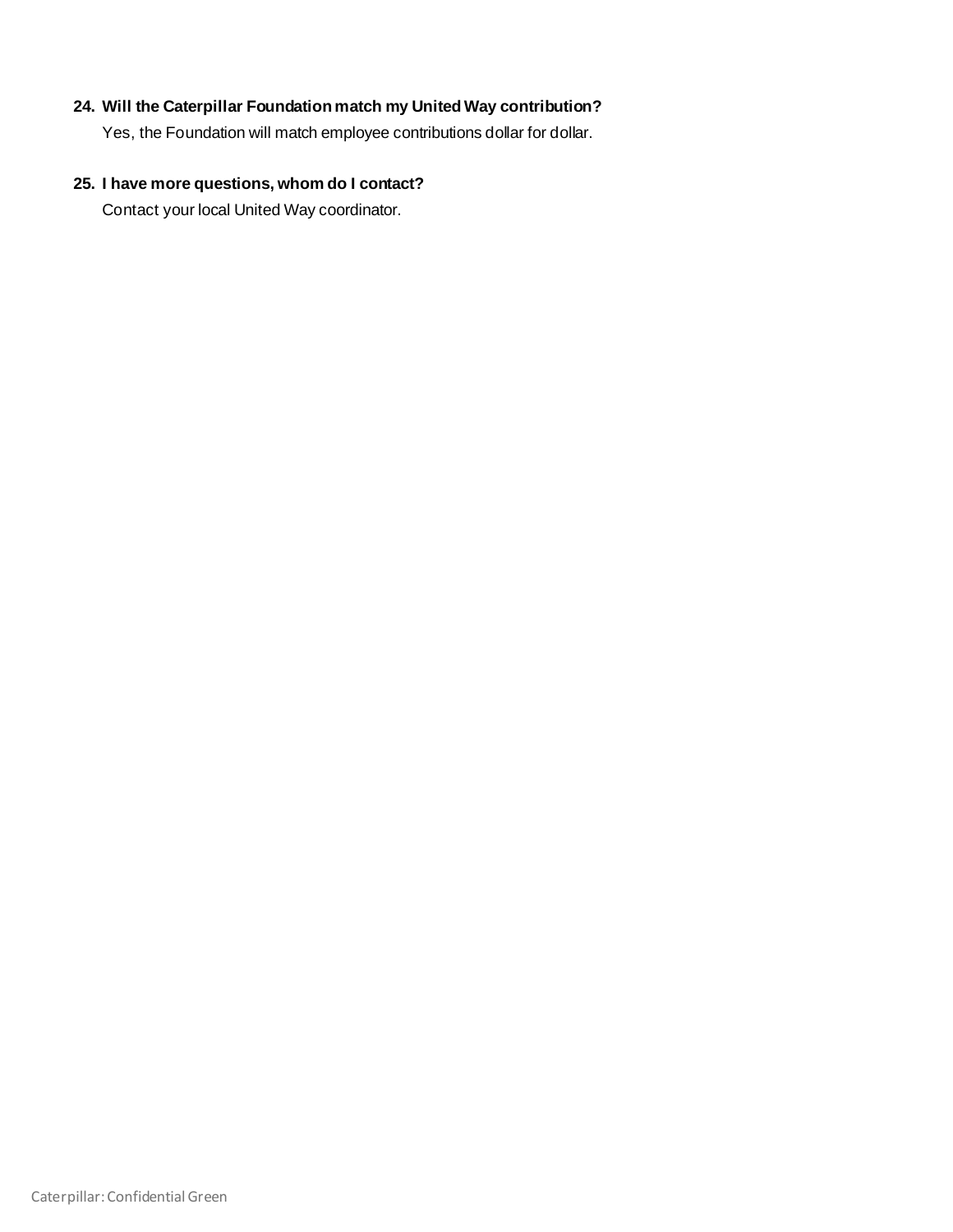# **24. Will the Caterpillar Foundation match my United Way contribution?**

Yes, the Foundation will match employee contributions dollar for dollar.

# **25. I have more questions, whom do I contact?**

Contact your local United Way coordinator.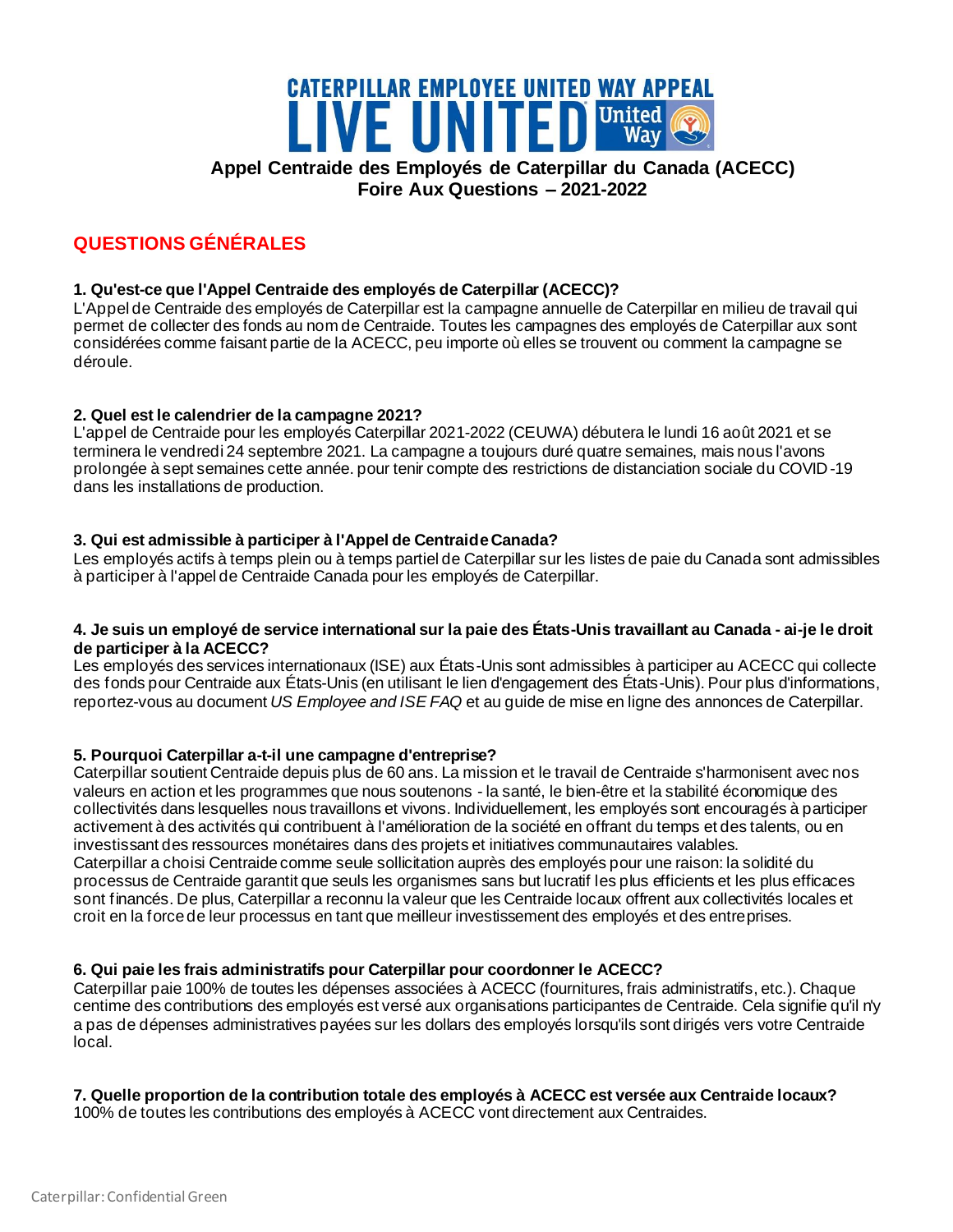# **CATERPILLAR EMPLOYEE UNITED WAY APPEAL LIVE UNITED** United **Appel Centraide des Employés de Caterpillar du Canada (ACECC) Foire Aux Questions – 2021-2022**

# **QUESTIONS GÉNÉRALES**

# **1. Qu'est-ce que l'Appel Centraide des employés de Caterpillar (ACECC)?**

L'Appel de Centraide des employés de Caterpillar est la campagne annuelle de Caterpillar en milieu de travail qui permet de collecter des fonds au nom de Centraide. Toutes les campagnes des employés de Caterpillar aux sont considérées comme faisant partie de la ACECC, peu importe où elles se trouvent ou comment la campagne se déroule.

# **2. Quel est le calendrier de la campagne 2021?**

L'appel de Centraide pour les employés Caterpillar 2021-2022 (CEUWA) débutera le lundi 16 août 2021 et se terminera le vendredi 24 septembre 2021. La campagne a toujours duré quatre semaines, mais nous l'avons prolongée à sept semaines cette année. pour tenir compte des restrictions de distanciation sociale du COVID -19 dans les installations de production.

# **3. Qui est admissible à participer à l'Appel de Centraide Canada?**

Les employés actifs à temps plein ou à temps partiel de Caterpillar sur les listes de paie du Canada sont admissibles à participer à l'appel de Centraide Canada pour les employés de Caterpillar.

### **4. Je suis un employé de service international sur la paie des États-Unis travaillant au Canada - ai-je le droit de participer à la ACECC?**

Les employés des services internationaux (ISE) aux États-Unis sont admissibles à participer au ACECC qui collecte des fonds pour Centraide aux États-Unis (en utilisant le lien d'engagement des États-Unis). Pour plus d'informations, reportez-vous au document *US Employee and ISE FAQ* et au guide de mise en ligne des annonces de Caterpillar.

# **5. Pourquoi Caterpillar a-t-il une campagne d'entreprise?**

Caterpillar soutient Centraide depuis plus de 60 ans. La mission et le travail de Centraide s'harmonisent avec nos valeurs en action et les programmes que nous soutenons - la santé, le bien-être et la stabilité économique des collectivités dans lesquelles nous travaillons et vivons. Individuellement, les employés sont encouragés à participer activement à des activités qui contribuent à l'amélioration de la société en offrant du temps et des talents, ou en investissant des ressources monétaires dans des projets et initiatives communautaires valables. Caterpillar a choisi Centraide comme seule sollicitation auprès des employés pour une raison: la solidité du processus de Centraide garantit que seuls les organismes sans but lucratif les plus efficients et les plus efficaces sont financés. De plus, Caterpillar a reconnu la valeur que les Centraide locaux offrent aux collectivités locales et croit en la force de leur processus en tant que meilleur investissement des employés et des entreprises.

# **6. Qui paie les frais administratifs pour Caterpillar pour coordonner le ACECC?**

Caterpillar paie 100% de toutes les dépenses associées à ACECC (fournitures, frais administratifs, etc.). Chaque centime des contributions des employés est versé aux organisations participantes de Centraide. Cela signifie qu'il n'y a pas de dépenses administratives payées sur les dollars des employés lorsqu'ils sont dirigés vers votre Centraide local.

# **7. Quelle proportion de la contribution totale des employés à ACECC est versée aux Centraide locaux?**

100% de toutes les contributions des employés à ACECC vont directement aux Centraides.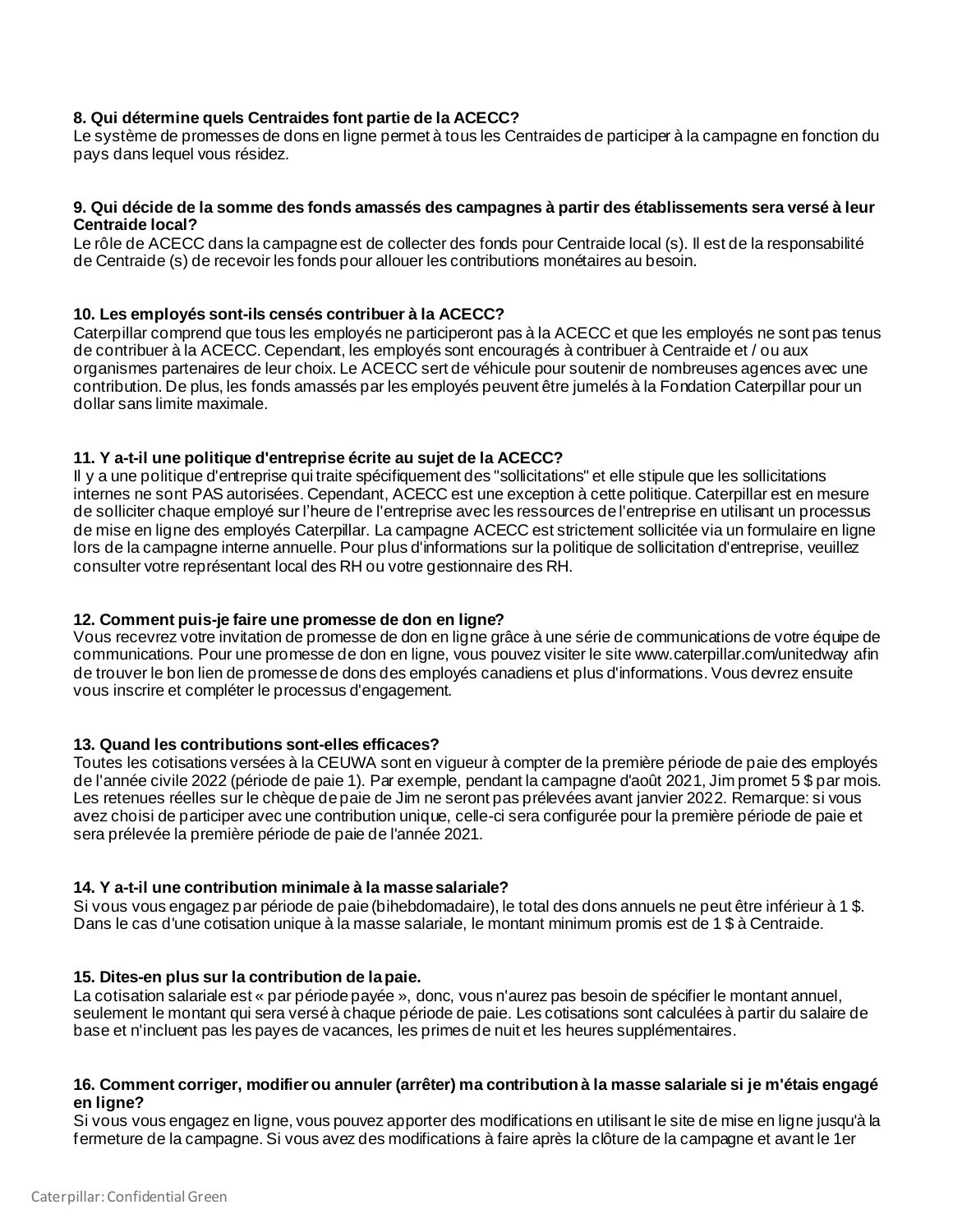# **8. Qui détermine quels Centraides font partie de la ACECC?**

Le système de promesses de dons en ligne permet à tous les Centraides de participer à la campagne en fonction du pays dans lequel vous résidez.

#### **9. Qui décide de la somme des fonds amassés des campagnes à partir des établissements sera versé à leur Centraide local?**

Le rôle de ACECC dans la campagne est de collecter des fonds pour Centraide local (s). Il est de la responsabilité de Centraide (s) de recevoir les fonds pour allouer les contributions monétaires au besoin.

### **10. Les employés sont-ils censés contribuer à la ACECC?**

Caterpillar comprend que tous les employés ne participeront pas à la ACECC et que les employés ne sont pas tenus de contribuer à la ACECC. Cependant, les employés sont encouragés à contribuer à Centraide et / ou aux organismes partenaires de leur choix. Le ACECC sert de véhicule pour soutenir de nombreuses agences avec une contribution. De plus, les fonds amassés par les employés peuvent être jumelés à la Fondation Caterpillar pour un dollar sans limite maximale.

### **11. Y a-t-il une politique d'entreprise écrite au sujet de la ACECC?**

Il y a une politique d'entreprise qui traite spécifiquement des "sollicitations" et elle stipule que les sollicitations internes ne sont PAS autorisées. Cependant, ACECC est une exception à cette politique. Caterpillar est en mesure de solliciter chaque employé sur l'heure de l'entreprise avec les ressources de l'entreprise en utilisant un processus de mise en ligne des employés Caterpillar. La campagne ACECC est strictement sollicitée via un formulaire en ligne lors de la campagne interne annuelle. Pour plus d'informations sur la politique de sollicitation d'entreprise, veuillez consulter votre représentant local des RH ou votre gestionnaire des RH.

### **12. Comment puis-je faire une promesse de don en ligne?**

Vous recevrez votre invitation de promesse de don en ligne grâce à une série de communications de votre équipe de communications. Pour une promesse de don en ligne, vous pouvez visiter le site www.caterpillar.com/unitedway afin de trouver le bon lien de promesse de dons des employés canadiens et plus d'informations. Vous devrez ensuite vous inscrire et compléter le processus d'engagement.

# **13. Quand les contributions sont-elles efficaces?**

Toutes les cotisations versées à la CEUWA sont en vigueur à compter de la première période de paie des employés de l'année civile 2022 (période de paie 1). Par exemple, pendant la campagne d'août 2021, Jim promet 5 \$ par mois. Les retenues réelles sur le chèque de paie de Jim ne seront pas prélevées avant janvier 2022. Remarque: si vous avez choisi de participer avec une contribution unique, celle-ci sera configurée pour la première période de paie et sera prélevée la première période de paie de l'année 2021.

### **14. Y a-t-il une contribution minimale à la masse salariale?**

Si vous vous engagez par période de paie (bihebdomadaire), le total des dons annuels ne peut être inférieur à 1 \$. Dans le cas d'une cotisation unique à la masse salariale, le montant minimum promis est de 1 \$ à Centraide.

### **15. Dites-en plus sur la contribution de la paie.**

La cotisation salariale est « par période payée », donc, vous n'aurez pas besoin de spécifier le montant annuel, seulement le montant qui sera versé à chaque période de paie. Les cotisations sont calculées à partir du salaire de base et n'incluent pas les payes de vacances, les primes de nuit et les heures supplémentaires.

### **16. Comment corriger, modifier ou annuler (arrêter) ma contribution à la masse salariale si je m'étais engagé en ligne?**

Si vous vous engagez en ligne, vous pouvez apporter des modifications en utilisant le site de mise en ligne jusqu'à la fermeture de la campagne. Si vous avez des modifications à faire après la clôture de la campagne et avant le 1er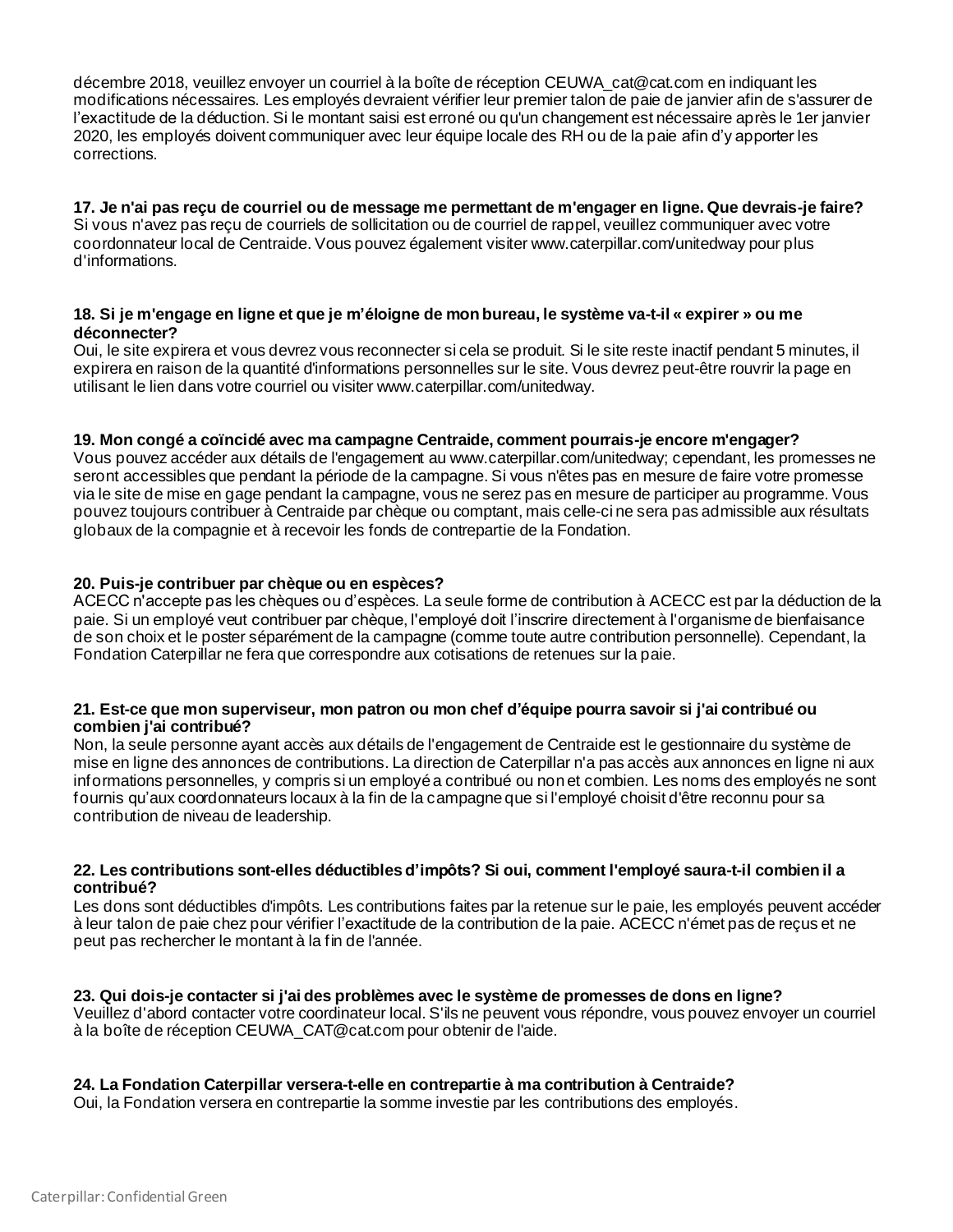décembre 2018, veuillez envoyer un courriel à la boîte de réception CEUWA\_cat@cat.com en indiquant les modifications nécessaires. Les employés devraient vérifier leur premier talon de paie de janvier afin de s'assurer de l'exactitude de la déduction. Si le montant saisi est erroné ou qu'un changement est nécessaire après le 1er janvier 2020, les employés doivent communiquer avec leur équipe locale des RH ou de la paie afin d'y apporter les corrections.

### **17. Je n'ai pas reçu de courriel ou de message me permettant de m'engager en ligne. Que devrais-je faire?** Si vous n'avez pas reçu de courriels de sollicitation ou de courriel de rappel, veuillez communiquer avec votre coordonnateur local de Centraide. Vous pouvez également visiter www.caterpillar.com/unitedway pour plus d'informations.

## **18. Si je m'engage en ligne et que je m'éloigne de mon bureau, le système va-t-il « expirer » ou me déconnecter?**

Oui, le site expirera et vous devrez vous reconnecter si cela se produit. Si le site reste inactif pendant 5 minutes, il expirera en raison de la quantité d'informations personnelles sur le site. Vous devrez peut-être rouvrir la page en utilisant le lien dans votre courriel ou visiter www.caterpillar.com/unitedway.

# **19. Mon congé a coïncidé avec ma campagne Centraide, comment pourrais-je encore m'engager?**

Vous pouvez accéder aux détails de l'engagement au www.caterpillar.com/unitedway; cependant, les promesses ne seront accessibles que pendant la période de la campagne. Si vous n'êtes pas en mesure de faire votre promesse via le site de mise en gage pendant la campagne, vous ne serez pas en mesure de participer au programme. Vous pouvez toujours contribuer à Centraide par chèque ou comptant, mais celle-ci ne sera pas admissible aux résultats globaux de la compagnie et à recevoir les fonds de contrepartie de la Fondation.

# **20. Puis-je contribuer par chèque ou en espèces?**

ACECC n'accepte pas les chèques ou d'espèces. La seule forme de contribution à ACECC est par la déduction de la paie. Si un employé veut contribuer par chèque, l'employé doit l'inscrire directement à l'organisme de bienfaisance de son choix et le poster séparément de la campagne (comme toute autre contribution personnelle). Cependant, la Fondation Caterpillar ne fera que correspondre aux cotisations de retenues sur la paie.

### **21. Est-ce que mon superviseur, mon patron ou mon chef d'équipe pourra savoir si j'ai contribué ou combien j'ai contribué?**

Non, la seule personne ayant accès aux détails de l'engagement de Centraide est le gestionnaire du système de mise en ligne des annonces de contributions. La direction de Caterpillar n'a pas accès aux annonces en ligne ni aux informations personnelles, y compris si un employé a contribué ou non et combien. Les noms des employés ne sont fournis qu'aux coordonnateurs locaux à la fin de la campagne que si l'employé choisit d'être reconnu pour sa contribution de niveau de leadership.

### **22. Les contributions sont-elles déductibles d'impôts? Si oui, comment l'employé saura-t-il combien il a contribué?**

Les dons sont déductibles d'impôts. Les contributions faites par la retenue sur le paie, les employés peuvent accéder à leur talon de paie chez pour vérifier l'exactitude de la contribution de la paie. ACECC n'émet pas de reçus et ne peut pas rechercher le montant à la fin de l'année.

# **23. Qui dois-je contacter si j'ai des problèmes avec le système de promesses de dons en ligne?**

Veuillez d'abord contacter votre coordinateur local. S'ils ne peuvent vous répondre, vous pouvez envoyer un courriel à la boîte de réception CEUWA\_CAT@cat.com pour obtenir de l'aide.

# **24. La Fondation Caterpillar versera-t-elle en contrepartie à ma contribution à Centraide?**

Oui, la Fondation versera en contrepartie la somme investie par les contributions des employés.